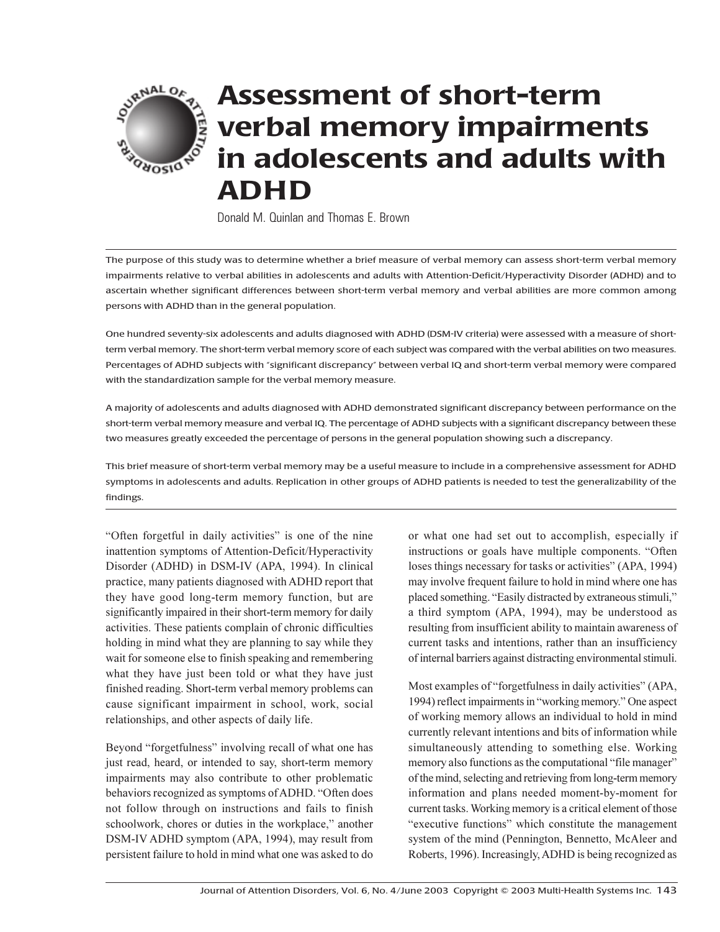

# **Assessment of short-term verbal memory impairments in adolescents and adults with ADHD**

Donald M. Quinlan and Thomas E. Brown

The purpose of this study was to determine whether a brief measure of verbal memory can assess short-term verbal memory impairments relative to verbal abilities in adolescents and adults with Attention-Deficit/Hyperactivity Disorder (ADHD) and to ascertain whether significant differences between short-term verbal memory and verbal abilities are more common among persons with ADHD than in the general population.

One hundred seventy-six adolescents and adults diagnosed with ADHD (DSM-IV criteria) were assessed with a measure of shortterm verbal memory. The short-term verbal memory score of each subject was compared with the verbal abilities on two measures. Percentages of ADHD subjects with "significant discrepancy" between verbal IQ and short-term verbal memory were compared with the standardization sample for the verbal memory measure.

A majority of adolescents and adults diagnosed with ADHD demonstrated significant discrepancy between performance on the short-term verbal memory measure and verbal IQ. The percentage of ADHD subjects with a significant discrepancy between these two measures greatly exceeded the percentage of persons in the general population showing such a discrepancy.

This brief measure of short-term verbal memory may be a useful measure to include in a comprehensive assessment for ADHD symptoms in adolescents and adults. Replication in other groups of ADHD patients is needed to test the generalizability of the findings.

"Often forgetful in daily activities" is one of the nine inattention symptoms of Attention-Deficit/Hyperactivity Disorder (ADHD) in DSM-IV (APA, 1994). In clinical practice, many patients diagnosed with ADHD report that they have good long-term memory function, but are significantly impaired in their short-term memory for daily activities. These patients complain of chronic difficulties holding in mind what they are planning to say while they wait for someone else to finish speaking and remembering what they have just been told or what they have just finished reading. Short-term verbal memory problems can cause significant impairment in school, work, social relationships, and other aspects of daily life.

Beyond "forgetfulness" involving recall of what one has just read, heard, or intended to say, short-term memory impairments may also contribute to other problematic behaviors recognized as symptoms of ADHD. "Often does not follow through on instructions and fails to finish schoolwork, chores or duties in the workplace," another DSM-IV ADHD symptom (APA, 1994), may result from persistent failure to hold in mind what one was asked to do or what one had set out to accomplish, especially if instructions or goals have multiple components. "Often loses things necessary for tasks or activities" (APA, 1994) may involve frequent failure to hold in mind where one has placed something. "Easily distracted by extraneous stimuli," a third symptom (APA, 1994), may be understood as resulting from insufficient ability to maintain awareness of current tasks and intentions, rather than an insufficiency of internal barriers against distracting environmental stimuli.

Most examples of "forgetfulness in daily activities" (APA, 1994) reflect impairments in "working memory." One aspect of working memory allows an individual to hold in mind currently relevant intentions and bits of information while simultaneously attending to something else. Working memory also functions as the computational "file manager" of the mind, selecting and retrieving from long-term memory information and plans needed moment-by-moment for current tasks. Working memory is a critical element of those "executive functions" which constitute the management system of the mind (Pennington, Bennetto, McAleer and Roberts, 1996). Increasingly, ADHD is being recognized as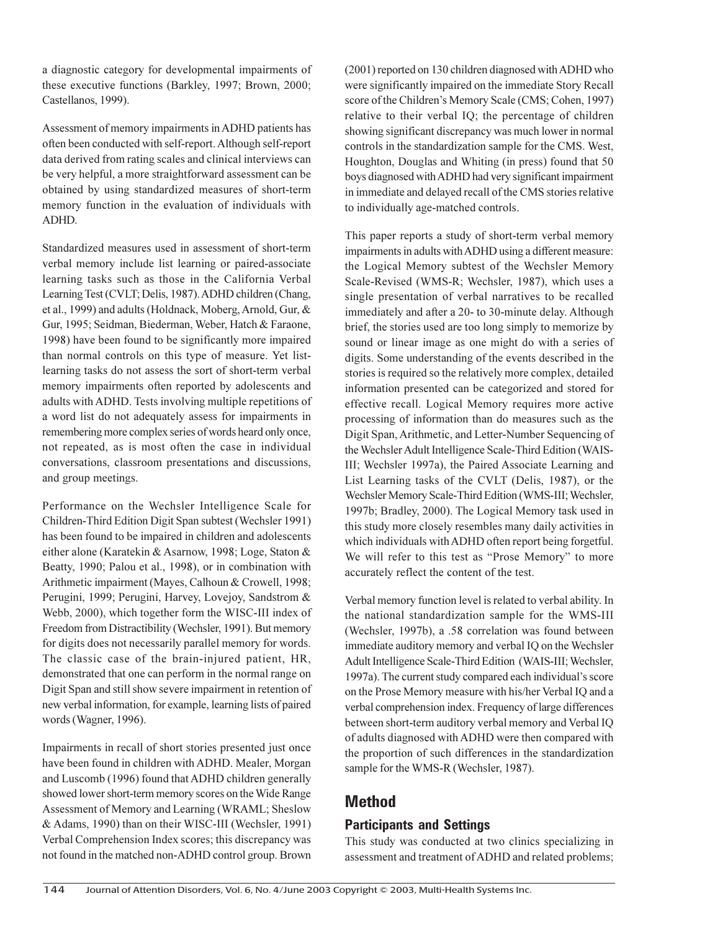a diagnostic category for developmental impairments of these executive functions (Barkley, 1997; Brown, 2000; Castellanos, 1999).

Assessment of memory impairments in ADHD patients has often been conducted with self-report. Although self-report data derived from rating scales and clinical interviews can be very helpful, a more straightforward assessment can be obtained by using standardized measures of short-term memory function in the evaluation of individuals with ADHD.

Standardized measures used in assessment of short-term verbal memory include list learning or paired-associate learning tasks such as those in the California Verbal Learning Test (CVLT; Delis, 1987). ADHD children (Chang, et al., 1999) and adults (Holdnack, Moberg, Arnold, Gur, & Gur, 1995; Seidman, Biederman, Weber, Hatch & Faraone, 1998) have been found to be significantly more impaired than normal controls on this type of measure. Yet listlearning tasks do not assess the sort of short-term verbal memory impairments often reported by adolescents and adults with ADHD. Tests involving multiple repetitions of a word list do not adequately assess for impairments in remembering more complex series of words heard only once, not repeated, as is most often the case in individual conversations, classroom presentations and discussions, and group meetings.

Performance on the Wechsler Intelligence Scale for Children-Third Edition Digit Span subtest (Wechsler 1991) has been found to be impaired in children and adolescents either alone (Karatekin & Asarnow, 1998; Loge, Staton & Beatty, 1990; Palou et al., 1998), or in combination with Arithmetic impairment (Mayes, Calhoun & Crowell, 1998; Perugini, 1999; Perugini, Harvey, Lovejoy, Sandstrom & Webb, 2000), which together form the WISC-III index of Freedom from Distractibility (Wechsler, 1991). But memory for digits does not necessarily parallel memory for words. The classic case of the brain-injured patient, HR, demonstrated that one can perform in the normal range on Digit Span and still show severe impairment in retention of new verbal information, for example, learning lists of paired words (Wagner, 1996).

Impairments in recall of short stories presented just once have been found in children with ADHD. Mealer, Morgan and Luscomb (1996) found that ADHD children generally showed lower short-term memory scores on the Wide Range Assessment of Memory and Learning (WRAML; Sheslow & Adams, 1990) than on their WISC-III (Wechsler, 1991) Verbal Comprehension Index scores; this discrepancy was not found in the matched non-ADHD control group. Brown

(2001) reported on 130 children diagnosed with ADHD who were significantly impaired on the immediate Story Recall score of the Children's Memory Scale (CMS; Cohen, 1997) relative to their verbal IQ; the percentage of children showing significant discrepancy was much lower in normal controls in the standardization sample for the CMS. West, Houghton, Douglas and Whiting (in press) found that 50 boys diagnosed with ADHD had very significant impairment in immediate and delayed recall of the CMS stories relative to individually age-matched controls.

This paper reports a study of short-term verbal memory impairments in adults with ADHD using a different measure: the Logical Memory subtest of the Wechsler Memory Scale-Revised (WMS-R; Wechsler, 1987), which uses a single presentation of verbal narratives to be recalled immediately and after a 20- to 30-minute delay. Although brief, the stories used are too long simply to memorize by sound or linear image as one might do with a series of digits. Some understanding of the events described in the stories is required so the relatively more complex, detailed information presented can be categorized and stored for effective recall. Logical Memory requires more active processing of information than do measures such as the Digit Span, Arithmetic, and Letter-Number Sequencing of the Wechsler Adult Intelligence Scale-Third Edition (WAIS-III; Wechsler 1997a), the Paired Associate Learning and List Learning tasks of the CVLT (Delis, 1987), or the Wechsler Memory Scale-Third Edition (WMS-III; Wechsler, 1997b; Bradley, 2000). The Logical Memory task used in this study more closely resembles many daily activities in which individuals with ADHD often report being forgetful. We will refer to this test as "Prose Memory" to more accurately reflect the content of the test.

Verbal memory function level is related to verbal ability. In the national standardization sample for the WMS-III (Wechsler, 1997b), a .58 correlation was found between immediate auditory memory and verbal IQ on the Wechsler Adult Intelligence Scale-Third Edition (WAIS-III; Wechsler, 1997a). The current study compared each individual's score on the Prose Memory measure with his/her Verbal IQ and a verbal comprehension index. Frequency of large differences between short-term auditory verbal memory and Verbal IQ of adults diagnosed with ADHD were then compared with the proportion of such differences in the standardization sample for the WMS-R (Wechsler, 1987).

# **Method**

## **Participants and Settings**

This study was conducted at two clinics specializing in assessment and treatment of ADHD and related problems;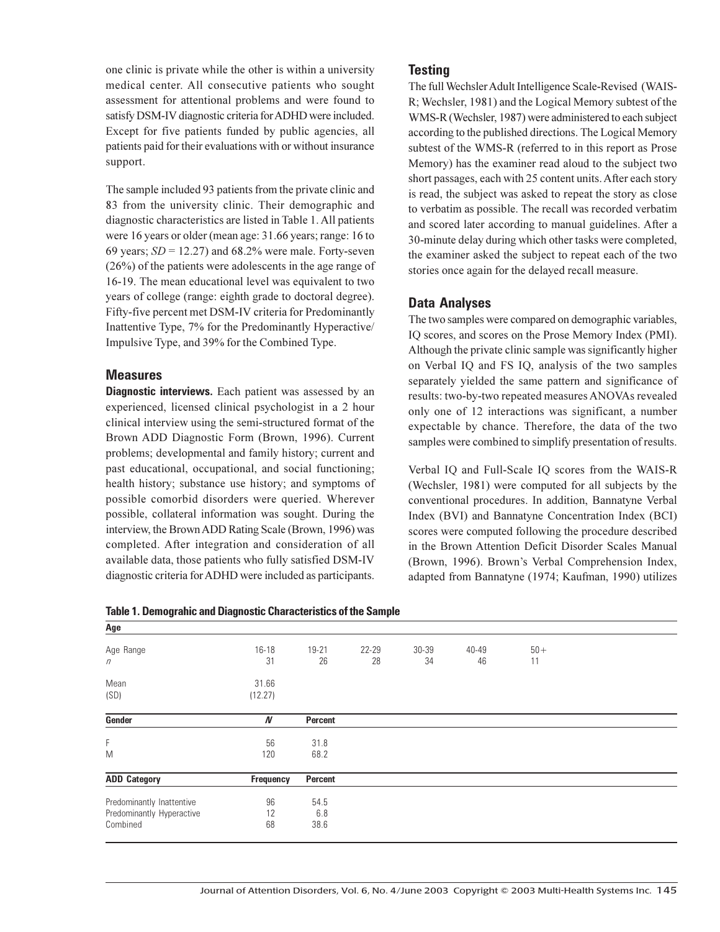one clinic is private while the other is within a university medical center. All consecutive patients who sought assessment for attentional problems and were found to satisfy DSM-IV diagnostic criteria for ADHD were included. Except for five patients funded by public agencies, all patients paid for their evaluations with or without insurance support.

The sample included 93 patients from the private clinic and 83 from the university clinic. Their demographic and diagnostic characteristics are listed in Table 1. All patients were 16 years or older (mean age: 31.66 years; range: 16 to 69 years;  $SD = 12.27$ ) and 68.2% were male. Forty-seven (26%) of the patients were adolescents in the age range of 16-19. The mean educational level was equivalent to two years of college (range: eighth grade to doctoral degree). Fifty-five percent met DSM-IV criteria for Predominantly Inattentive Type, 7% for the Predominantly Hyperactive/ Impulsive Type, and 39% for the Combined Type.

#### **Measures**

**Diagnostic interviews.** Each patient was assessed by an experienced, licensed clinical psychologist in a 2 hour clinical interview using the semi-structured format of the Brown ADD Diagnostic Form (Brown, 1996). Current problems; developmental and family history; current and past educational, occupational, and social functioning; health history; substance use history; and symptoms of possible comorbid disorders were queried. Wherever possible, collateral information was sought. During the interview, the Brown ADD Rating Scale (Brown, 1996) was completed. After integration and consideration of all available data, those patients who fully satisfied DSM-IV diagnostic criteria for ADHD were included as participants.

#### **Testing**

The full Wechsler Adult Intelligence Scale-Revised (WAIS-R; Wechsler, 1981) and the Logical Memory subtest of the WMS-R (Wechsler, 1987) were administered to each subject according to the published directions. The Logical Memory subtest of the WMS-R (referred to in this report as Prose Memory) has the examiner read aloud to the subject two short passages, each with 25 content units. After each story is read, the subject was asked to repeat the story as close to verbatim as possible. The recall was recorded verbatim and scored later according to manual guidelines. After a 30-minute delay during which other tasks were completed, the examiner asked the subject to repeat each of the two stories once again for the delayed recall measure.

#### **Data Analyses**

The two samples were compared on demographic variables, IQ scores, and scores on the Prose Memory Index (PMI). Although the private clinic sample was significantly higher on Verbal IO and FS IO, analysis of the two samples separately yielded the same pattern and significance of results: two-by-two repeated measures ANOVAs revealed only one of 12 interactions was significant, a number expectable by chance. Therefore, the data of the two samples were combined to simplify presentation of results.

Verbal IQ and Full-Scale IQ scores from the WAIS-R (Wechsler, 1981) were computed for all subjects by the conventional procedures. In addition, Bannatyne Verbal Index (BVI) and Bannatyne Concentration Index (BCI) scores were computed following the procedure described in the Brown Attention Deficit Disorder Scales Manual (Brown, 1996). Brown's Verbal Comprehension Index, adapted from Bannatyne (1974; Kaufman, 1990) utilizes

| <u>rapio 1. Domogramo ana Diagnostro onarastonstros er tilo oampio</u> |           |           |       |       |       |       |  |
|------------------------------------------------------------------------|-----------|-----------|-------|-------|-------|-------|--|
| Age                                                                    |           |           |       |       |       |       |  |
| Age Range                                                              | $16 - 18$ | $19 - 21$ | 22-29 | 30-39 | 40-49 | $50+$ |  |
| $\eta$                                                                 | 31        | 26        | 28    | 34    | 46    | 11    |  |
| Mean                                                                   | 31.66     |           |       |       |       |       |  |
| (SD)                                                                   | (12.27)   |           |       |       |       |       |  |
| Gender                                                                 | N         | Percent   |       |       |       |       |  |
| F                                                                      | 56        | 31.8      |       |       |       |       |  |
| M                                                                      | 120       | 68.2      |       |       |       |       |  |
| <b>ADD Category</b>                                                    | Frequency | Percent   |       |       |       |       |  |
| Predominantly Inattentive                                              | 96        | 54.5      |       |       |       |       |  |
| Predominantly Hyperactive                                              | 12        | 6.8       |       |       |       |       |  |
| Combined                                                               | 68        | 38.6      |       |       |       |       |  |

Table 1 Demograbic and Diagnostic Characteristics of the Sample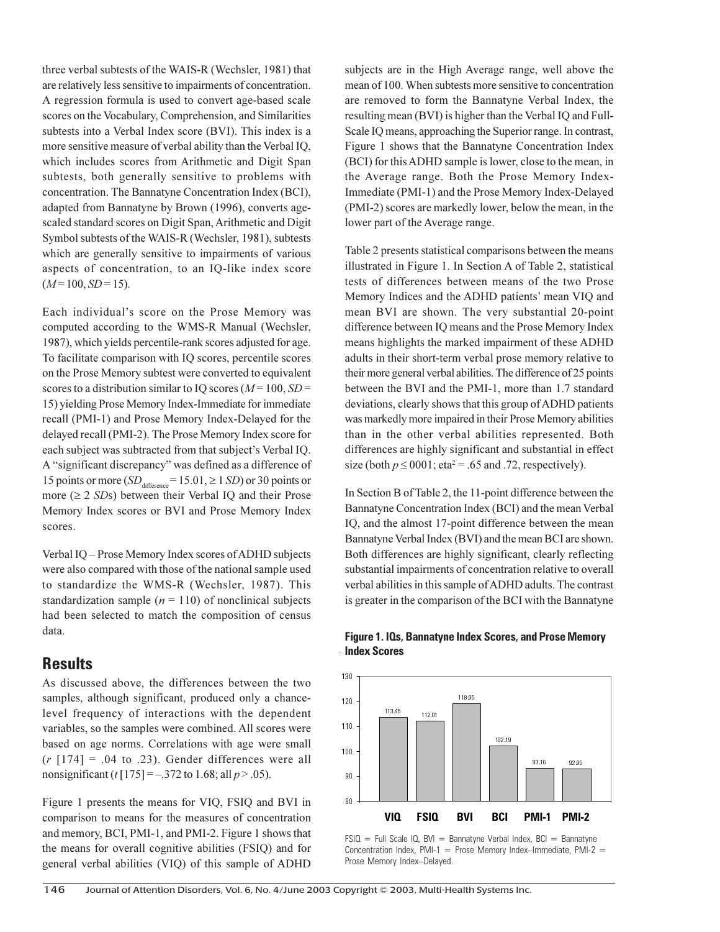three verbal subtests of the WAIS-R (Wechsler, 1981) that are relatively less sensitive to impairments of concentration. A regression formula is used to convert age-based scale scores on the Vocabulary, Comprehension, and Similarities subtests into a Verbal Index score (BVI). This index is a more sensitive measure of verbal ability than the Verbal IQ, which includes scores from Arithmetic and Digit Span subtests, both generally sensitive to problems with concentration. The Bannatyne Concentration Index (BCI), adapted from Bannatyne by Brown (1996), converts agescaled standard scores on Digit Span, Arithmetic and Digit Symbol subtests of the WAIS-R (Wechsler, 1981), subtests which are generally sensitive to impairments of various aspects of concentration, to an IQ-like index score  $(M=100, SD=15)$ .

Each individual's score on the Prose Memory was computed according to the WMS-R Manual (Wechsler, 1987), which yields percentile-rank scores adjusted for age. To facilitate comparison with IQ scores, percentile scores on the Prose Memory subtest were converted to equivalent scores to a distribution similar to IQ scores ( $M = 100$ , SD = 15) yielding Prose Memory Index-Immediate for immediate recall (PMI-1) and Prose Memory Index-Delayed for the delayed recall (PMI-2). The Prose Memory Index score for each subject was subtracted from that subject's Verbal IQ. A "significant discrepancy" was defined as a difference of 15 points or more  $(SD_{difference} = 15.01, \ge 1 SD)$  or 30 points or more  $(\geq 2$  SDs) between their Verbal IQ and their Prose Memory Index scores or BVI and Prose Memory Index scores.

Verbal IQ - Prose Memory Index scores of ADHD subjects were also compared with those of the national sample used to standardize the WMS-R (Wechsler, 1987). This standardization sample ( $n = 110$ ) of nonclinical subjects had been selected to match the composition of census data.

## **Results**

As discussed above, the differences between the two samples, although significant, produced only a chancelevel frequency of interactions with the dependent variables, so the samples were combined. All scores were based on age norms. Correlations with age were small  $(r \mid 174) = .04$  to .23). Gender differences were all nonsignificant (*t* [175] = -.372 to 1.68; all  $p > .05$ ).

Figure 1 presents the means for VIQ, FSIQ and BVI in comparison to means for the measures of concentration and memory, BCI, PMI-1, and PMI-2. Figure 1 shows that the means for overall cognitive abilities (FSIQ) and for general verbal abilities (VIQ) of this sample of ADHD

subjects are in the High Average range, well above the mean of 100. When subtests more sensitive to concentration are removed to form the Bannatyne Verbal Index, the resulting mean (BVI) is higher than the Verbal IQ and Full-Scale IQ means, approaching the Superior range. In contrast, Figure 1 shows that the Bannatyne Concentration Index (BCI) for this ADHD sample is lower, close to the mean, in the Average range. Both the Prose Memory Index-Immediate (PMI-1) and the Prose Memory Index-Delayed (PMI-2) scores are markedly lower, below the mean, in the lower part of the Average range.

Table 2 presents statistical comparisons between the means illustrated in Figure 1. In Section A of Table 2, statistical tests of differences between means of the two Prose Memory Indices and the ADHD patients' mean VIQ and mean BVI are shown. The very substantial 20-point difference between IQ means and the Prose Memory Index means highlights the marked impairment of these ADHD adults in their short-term verbal prose memory relative to their more general verbal abilities. The difference of 25 points between the BVI and the PMI-1, more than 1.7 standard deviations, clearly shows that this group of ADHD patients was markedly more impaired in their Prose Memory abilities than in the other verbal abilities represented. Both differences are highly significant and substantial in effect size (both  $p \le 0001$ ; eta<sup>2</sup> = .65 and .72, respectively).

In Section B of Table 2, the 11-point difference between the Bannatyne Concentration Index (BCI) and the mean Verbal IQ, and the almost 17-point difference between the mean Bannatyne Verbal Index (BVI) and the mean BCI are shown. Both differences are highly significant, clearly reflecting substantial impairments of concentration relative to overall verbal abilities in this sample of ADHD adults. The contrast is greater in the comparison of the BCI with the Bannatyne

#### **Figure 1. IQs. Bannatyne Index Scores, and Prose Memory Index Scores**



 $FSIO = Full Scale IO, BVI = Bannature Verbal Index, BCI = Bannature$ Concentration Index, PMI-1 = Prose Memory Index-Immediate, PMI-2 = Prose Memory Index-Delayed.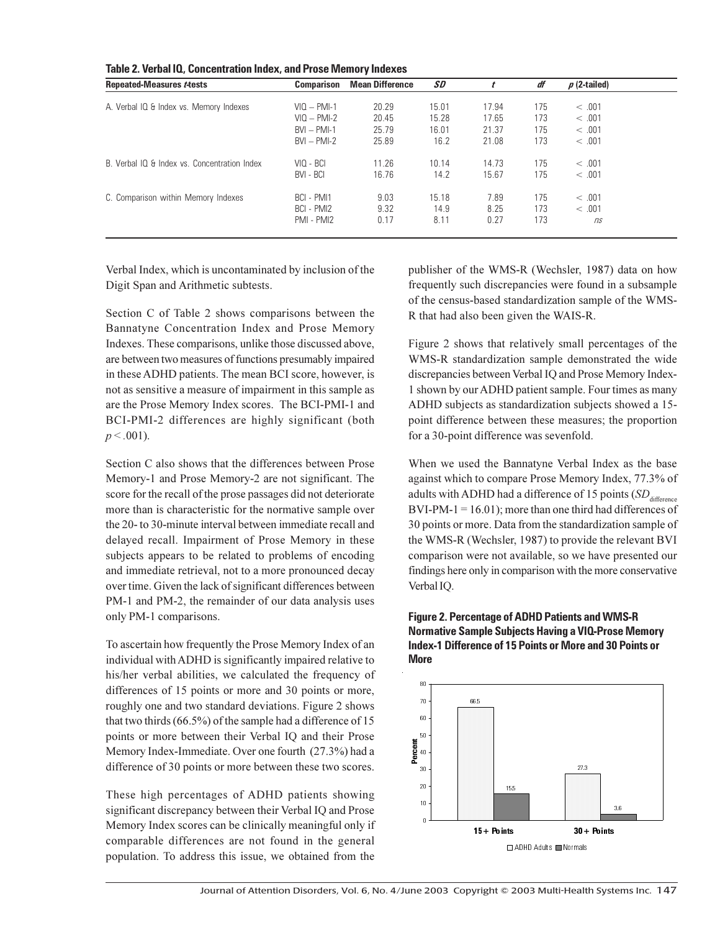|  | Table 2. Verbal IQ, Concentration Index, and Prose Memory Indexes |  |  |
|--|-------------------------------------------------------------------|--|--|
|--|-------------------------------------------------------------------|--|--|

| <b>Repeated-Measures t-tests</b>             | <b>Comparison</b> | <b>Mean Difference</b> | SD    |       | df  | $p(2$ -tailed) |  |
|----------------------------------------------|-------------------|------------------------|-------|-------|-----|----------------|--|
| A. Verbal IQ & Index vs. Memory Indexes      | $VIO - PMI-1$     | 20.29                  | 15.01 | 17.94 | 175 | < .001         |  |
|                                              | $VIO - PMI-2$     | 20.45                  | 15.28 | 17.65 | 173 | < .001         |  |
|                                              | $BVI - PMI-1$     | 25.79                  | 16.01 | 21.37 | 175 | < .001         |  |
|                                              | $BVI - PMI-2$     | 25.89                  | 16.2  | 21.08 | 173 | < .001         |  |
| B. Verbal IQ & Index vs. Concentration Index | $VIO - BCI$       | 11.26                  | 10.14 | 14.73 | 175 | < .001         |  |
|                                              | BVI - BCI         | 16.76                  | 14.2  | 15.67 | 175 | < .001         |  |
| C. Comparison within Memory Indexes          | BCI - PMI1        | 9.03                   | 15.18 | 7.89  | 175 | < .001         |  |
|                                              | BCI - PMI2        | 9.32                   | 14.9  | 8.25  | 173 | < .001         |  |
|                                              | PMI - PMI2        | 0.17                   | 8.11  | 0.27  | 173 | ns             |  |

Verbal Index, which is uncontaminated by inclusion of the Digit Span and Arithmetic subtests.

Section C of Table 2 shows comparisons between the Bannatyne Concentration Index and Prose Memory Indexes. These comparisons, unlike those discussed above, are between two measures of functions presumably impaired in these ADHD patients. The mean BCI score, however, is not as sensitive a measure of impairment in this sample as are the Prose Memory Index scores. The BCI-PMI-1 and BCI-PMI-2 differences are highly significant (both  $p < .001$ ).

Section C also shows that the differences between Prose Memory-1 and Prose Memory-2 are not significant. The score for the recall of the prose passages did not deteriorate more than is characteristic for the normative sample over the 20- to 30-minute interval between immediate recall and delayed recall. Impairment of Prose Memory in these subjects appears to be related to problems of encoding and immediate retrieval, not to a more pronounced decay over time. Given the lack of significant differences between PM-1 and PM-2, the remainder of our data analysis uses only PM-1 comparisons.

To ascertain how frequently the Prose Memory Index of an individual with ADHD is significantly impaired relative to his/her verbal abilities, we calculated the frequency of differences of 15 points or more and 30 points or more, roughly one and two standard deviations. Figure 2 shows that two thirds  $(66.5\%)$  of the sample had a difference of 15 points or more between their Verbal IQ and their Prose Memory Index-Immediate. Over one fourth (27.3%) had a difference of 30 points or more between these two scores.

These high percentages of ADHD patients showing significant discrepancy between their Verbal IQ and Prose Memory Index scores can be clinically meaningful only if comparable differences are not found in the general population. To address this issue, we obtained from the

publisher of the WMS-R (Wechsler, 1987) data on how frequently such discrepancies were found in a subsample of the census-based standardization sample of the WMS-R that had also been given the WAIS-R.

Figure 2 shows that relatively small percentages of the WMS-R standardization sample demonstrated the wide discrepancies between Verbal IQ and Prose Memory Index-1 shown by our ADHD patient sample. Four times as many ADHD subjects as standardization subjects showed a 15point difference between these measures; the proportion for a 30-point difference was sevenfold.

When we used the Bannatyne Verbal Index as the base against which to compare Prose Memory Index, 77.3% of adults with ADHD had a difference of 15 points  $(SD<sub>difference</sub>$  $BVI-PM-1 = 16.01$ ; more than one third had differences of 30 points or more. Data from the standardization sample of the WMS-R (Wechsler, 1987) to provide the relevant BVI comparison were not available, so we have presented our findings here only in comparison with the more conservative Verbal IQ.

**Figure 2. Percentage of ADHD Patients and WMS-R Normative Sample Subjects Having a VIQ-Prose Memory** Index-1 Difference of 15 Points or More and 30 Points or **More** 

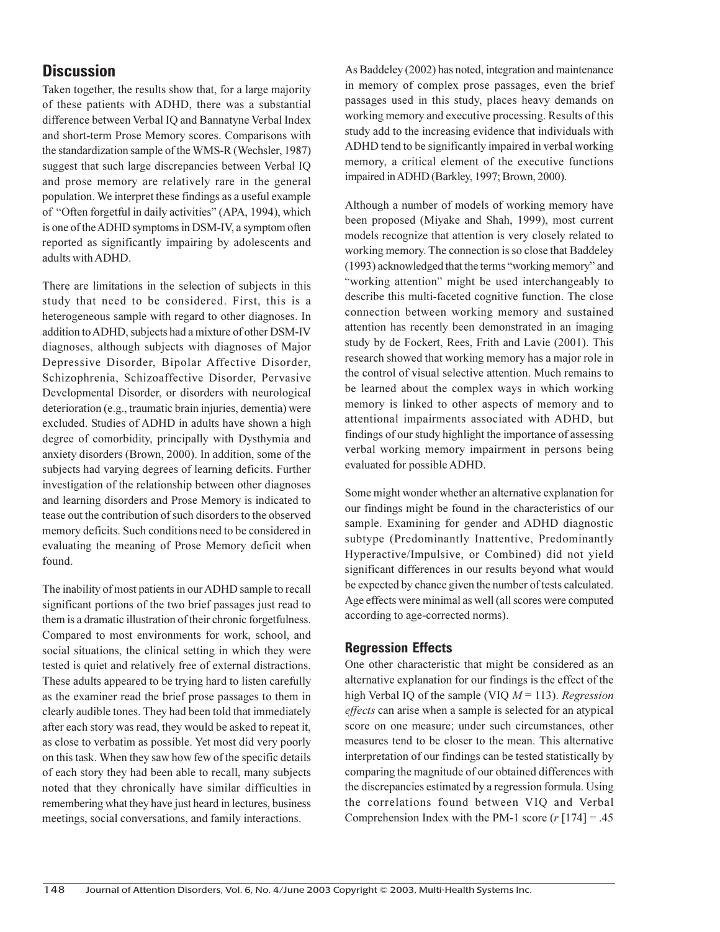## **Discussion**

Taken together, the results show that, for a large majority of these patients with ADHD, there was a substantial difference between Verbal IQ and Bannatyne Verbal Index and short-term Prose Memory scores. Comparisons with the standardization sample of the WMS-R (Wechsler, 1987) suggest that such large discrepancies between Verbal IQ and prose memory are relatively rare in the general population. We interpret these findings as a useful example of "Often forgetful in daily activities" (APA, 1994), which is one of the ADHD symptoms in DSM-IV, a symptom often reported as significantly impairing by adolescents and adults with ADHD.

There are limitations in the selection of subjects in this study that need to be considered. First, this is a heterogeneous sample with regard to other diagnoses. In addition to ADHD, subjects had a mixture of other DSM-IV diagnoses, although subjects with diagnoses of Major Depressive Disorder, Bipolar Affective Disorder, Schizophrenia, Schizoaffective Disorder, Pervasive Developmental Disorder, or disorders with neurological deterioration (e.g., traumatic brain injuries, dementia) were excluded. Studies of ADHD in adults have shown a high degree of comorbidity, principally with Dysthymia and anxiety disorders (Brown, 2000). In addition, some of the subjects had varying degrees of learning deficits. Further investigation of the relationship between other diagnoses and learning disorders and Prose Memory is indicated to tease out the contribution of such disorders to the observed memory deficits. Such conditions need to be considered in evaluating the meaning of Prose Memory deficit when found.

The inability of most patients in our ADHD sample to recall significant portions of the two brief passages just read to them is a dramatic illustration of their chronic forgetfulness. Compared to most environments for work, school, and social situations, the clinical setting in which they were tested is quiet and relatively free of external distractions. These adults appeared to be trying hard to listen carefully as the examiner read the brief prose passages to them in clearly audible tones. They had been told that immediately after each story was read, they would be asked to repeat it, as close to verbatim as possible. Yet most did very poorly on this task. When they saw how few of the specific details of each story they had been able to recall, many subjects noted that they chronically have similar difficulties in remembering what they have just heard in lectures, business meetings, social conversations, and family interactions.

As Baddeley (2002) has noted, integration and maintenance in memory of complex prose passages, even the brief passages used in this study, places heavy demands on working memory and executive processing. Results of this study add to the increasing evidence that individuals with ADHD tend to be significantly impaired in verbal working memory, a critical element of the executive functions impaired in ADHD (Barkley, 1997; Brown, 2000).

Although a number of models of working memory have been proposed (Miyake and Shah, 1999), most current models recognize that attention is very closely related to working memory. The connection is so close that Baddeley (1993) acknowledged that the terms "working memory" and "working attention" might be used interchangeably to describe this multi-faceted cognitive function. The close connection between working memory and sustained attention has recently been demonstrated in an imaging study by de Fockert, Rees, Frith and Lavie (2001). This research showed that working memory has a major role in the control of visual selective attention. Much remains to be learned about the complex ways in which working memory is linked to other aspects of memory and to attentional impairments associated with ADHD, but findings of our study highlight the importance of assessing verbal working memory impairment in persons being evaluated for possible ADHD.

Some might wonder whether an alternative explanation for our findings might be found in the characteristics of our sample. Examining for gender and ADHD diagnostic subtype (Predominantly Inattentive, Predominantly Hyperactive/Impulsive, or Combined) did not yield significant differences in our results beyond what would be expected by chance given the number of tests calculated. Age effects were minimal as well (all scores were computed according to age-corrected norms).

#### **Regression Effects**

One other characteristic that might be considered as an alternative explanation for our findings is the effect of the high Verbal IQ of the sample (VIQ  $M = 113$ ). Regression effects can arise when a sample is selected for an atypical score on one measure; under such circumstances, other measures tend to be closer to the mean. This alternative interpretation of our findings can be tested statistically by comparing the magnitude of our obtained differences with the discrepancies estimated by a regression formula. Using the correlations found between VIQ and Verbal Comprehension Index with the PM-1 score  $(r \mid 174] = .45$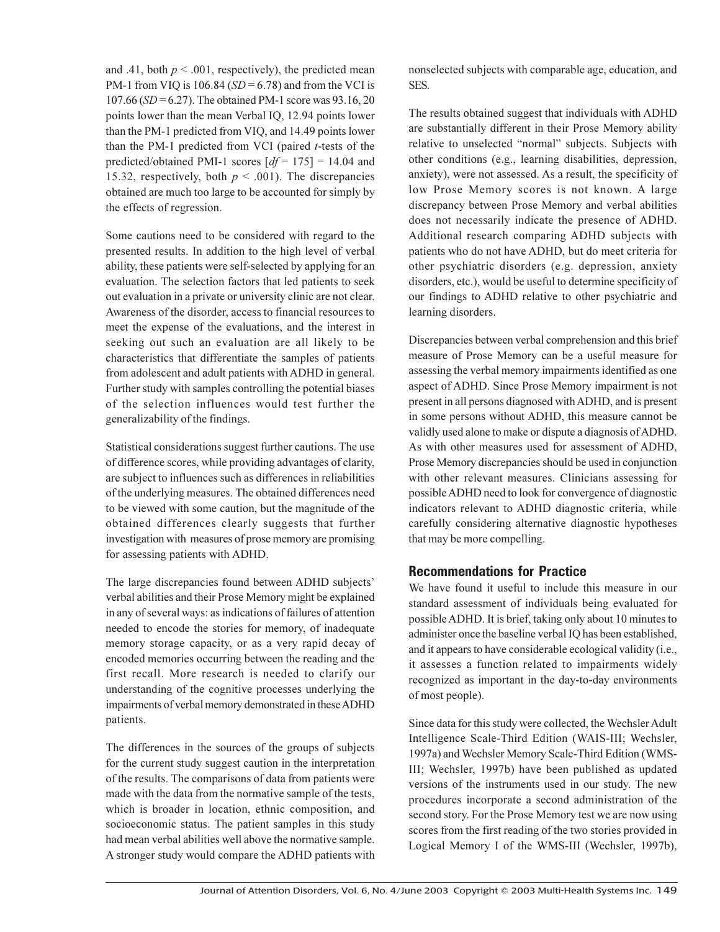and .41, both  $p < .001$ , respectively), the predicted mean PM-1 from VIQ is 106.84 ( $SD = 6.78$ ) and from the VCI is  $107.66$  (SD = 6.27). The obtained PM-1 score was 93.16, 20 points lower than the mean Verbal IQ, 12.94 points lower than the PM-1 predicted from VIQ, and 14.49 points lower than the PM-1 predicted from VCI (paired  $t$ -tests of the predicted/obtained PMI-1 scores  $\lceil df = 175 \rceil = 14.04$  and 15.32, respectively, both  $p \le 0.001$ ). The discrepancies obtained are much too large to be accounted for simply by the effects of regression.

Some cautions need to be considered with regard to the presented results. In addition to the high level of verbal ability, these patients were self-selected by applying for an evaluation. The selection factors that led patients to seek out evaluation in a private or university clinic are not clear. Awareness of the disorder, access to financial resources to meet the expense of the evaluations, and the interest in seeking out such an evaluation are all likely to be characteristics that differentiate the samples of patients from adolescent and adult patients with ADHD in general. Further study with samples controlling the potential biases of the selection influences would test further the generalizability of the findings.

Statistical considerations suggest further cautions. The use of difference scores, while providing advantages of clarity, are subject to influences such as differences in reliabilities of the underlying measures. The obtained differences need to be viewed with some caution, but the magnitude of the obtained differences clearly suggests that further investigation with measures of prose memory are promising for assessing patients with ADHD.

The large discrepancies found between ADHD subjects' verbal abilities and their Prose Memory might be explained in any of several ways: as indications of failures of attention needed to encode the stories for memory, of inadequate memory storage capacity, or as a very rapid decay of encoded memories occurring between the reading and the first recall. More research is needed to clarify our understanding of the cognitive processes underlying the impairments of verbal memory demonstrated in these ADHD patients.

The differences in the sources of the groups of subjects for the current study suggest caution in the interpretation of the results. The comparisons of data from patients were made with the data from the normative sample of the tests, which is broader in location, ethnic composition, and socioeconomic status. The patient samples in this study had mean verbal abilities well above the normative sample. A stronger study would compare the ADHD patients with nonselected subjects with comparable age, education, and SES.

The results obtained suggest that individuals with ADHD are substantially different in their Prose Memory ability relative to unselected "normal" subjects. Subjects with other conditions (e.g., learning disabilities, depression, anxiety), were not assessed. As a result, the specificity of low Prose Memory scores is not known. A large discrepancy between Prose Memory and verbal abilities does not necessarily indicate the presence of ADHD. Additional research comparing ADHD subjects with patients who do not have ADHD, but do meet criteria for other psychiatric disorders (e.g. depression, anxiety disorders, etc.), would be useful to determine specificity of our findings to ADHD relative to other psychiatric and learning disorders.

Discrepancies between verbal comprehension and this brief measure of Prose Memory can be a useful measure for assessing the verbal memory impairments identified as one aspect of ADHD. Since Prose Memory impairment is not present in all persons diagnosed with ADHD, and is present in some persons without ADHD, this measure cannot be validly used alone to make or dispute a diagnosis of ADHD. As with other measures used for assessment of ADHD, Prose Memory discrepancies should be used in conjunction with other relevant measures. Clinicians assessing for possible ADHD need to look for convergence of diagnostic indicators relevant to ADHD diagnostic criteria, while carefully considering alternative diagnostic hypotheses that may be more compelling.

#### **Recommendations for Practice**

We have found it useful to include this measure in our standard assessment of individuals being evaluated for possible ADHD. It is brief, taking only about 10 minutes to administer once the baseline verbal IQ has been established, and it appears to have considerable ecological validity (*i.e.*, it assesses a function related to impairments widely recognized as important in the day-to-day environments of most people).

Since data for this study were collected, the Wechsler Adult Intelligence Scale-Third Edition (WAIS-III; Wechsler, 1997a) and Wechsler Memory Scale-Third Edition (WMS-III; Wechsler, 1997b) have been published as updated versions of the instruments used in our study. The new procedures incorporate a second administration of the second story. For the Prose Memory test we are now using scores from the first reading of the two stories provided in Logical Memory I of the WMS-III (Wechsler, 1997b),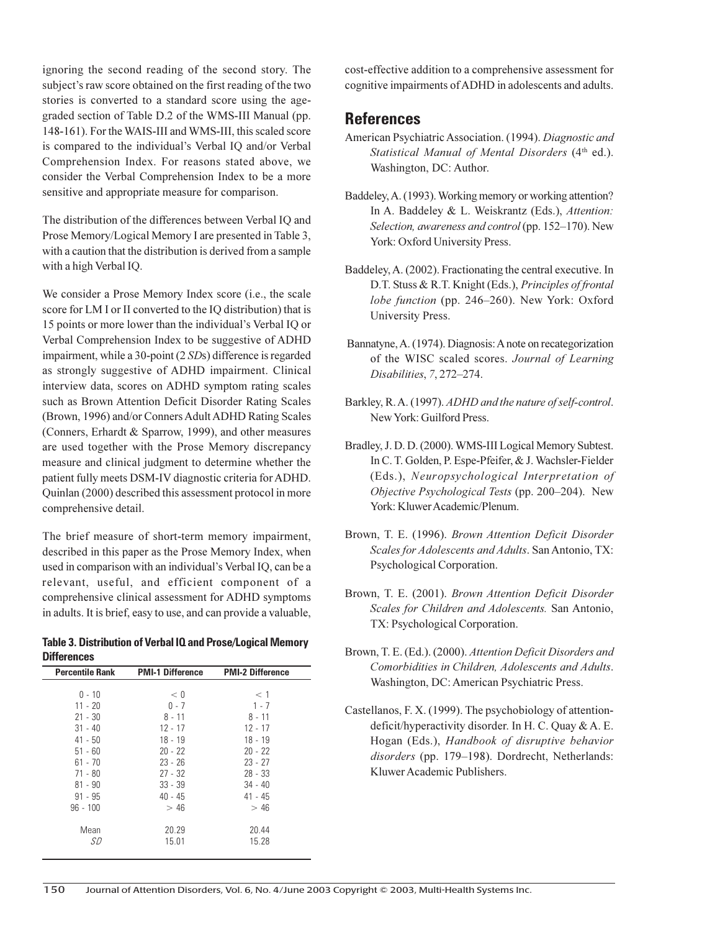ignoring the second reading of the second story. The subject's raw score obtained on the first reading of the two stories is converted to a standard score using the agegraded section of Table D.2 of the WMS-III Manual (pp. 148-161). For the WAIS-III and WMS-III, this scaled score is compared to the individual's Verbal IQ and/or Verbal Comprehension Index. For reasons stated above, we consider the Verbal Comprehension Index to be a more sensitive and appropriate measure for comparison.

The distribution of the differences between Verbal IQ and Prose Memory/Logical Memory I are presented in Table 3, with a caution that the distribution is derived from a sample with a high Verbal IQ.

We consider a Prose Memory Index score (i.e., the scale score for LM I or II converted to the IQ distribution) that is 15 points or more lower than the individual's Verbal IQ or Verbal Comprehension Index to be suggestive of ADHD impairment, while a 30-point (2 SDs) difference is regarded as strongly suggestive of ADHD impairment. Clinical interview data, scores on ADHD symptom rating scales such as Brown Attention Deficit Disorder Rating Scales (Brown, 1996) and/or Conners Adult ADHD Rating Scales (Conners, Erhardt & Sparrow, 1999), and other measures are used together with the Prose Memory discrepancy measure and clinical judgment to determine whether the patient fully meets DSM-IV diagnostic criteria for ADHD. Quinlan (2000) described this assessment protocol in more comprehensive detail.

The brief measure of short-term memory impairment, described in this paper as the Prose Memory Index, when used in comparison with an individual's Verbal IQ, can be a relevant, useful, and efficient component of a comprehensive clinical assessment for ADHD symptoms in adults. It is brief, easy to use, and can provide a valuable,

|                    | Table 3. Distribution of Verbal IQ and Prose/Logical Memory |  |  |
|--------------------|-------------------------------------------------------------|--|--|
| <b>Differences</b> |                                                             |  |  |

| <b>Percentile Rank</b> | <b>PMI-1 Difference</b> | <b>PMI-2 Difference</b> |
|------------------------|-------------------------|-------------------------|
|                        |                         |                         |
| $0 - 10$               | < 0                     | $<$ 1                   |
| $11 - 20$              | $0 - 7$                 | $1 - 7$                 |
| $21 - 30$              | 8 - 11                  | 8 - 11                  |
| $31 - 40$              | $12 - 17$               | $12 - 17$               |
| $41 - 50$              | $18 - 19$               | $18 - 19$               |
| $51 - 60$              | $20 - 22$               | $20 - 22$               |
| $61 - 70$              | $23 - 26$               | $23 - 27$               |
| $71 - 80$              | $27 - 32$               | $28 - 33$               |
| $81 - 90$              | $33 - 39$               | $34 - 40$               |
| $91 - 95$              | $40 - 45$               | $41 - 45$               |
| $96 - 100$             | >46                     | >46                     |
|                        |                         |                         |
| Mean                   | 20.29                   | 20.44                   |
| SD                     | 15.01                   | 15.28                   |
|                        |                         |                         |

cost-effective addition to a comprehensive assessment for cognitive impairments of ADHD in adolescents and adults.

#### **References**

- American Psychiatric Association. (1994). Diagnostic and Statistical Manual of Mental Disorders (4<sup>th</sup> ed.). Washington, DC: Author.
- Baddeley, A. (1993). Working memory or working attention? In A. Baddeley & L. Weiskrantz (Eds.), Attention: Selection, awareness and control (pp. 152-170). New York: Oxford University Press.
- Baddeley, A. (2002). Fractionating the central executive. In D.T. Stuss & R.T. Knight (Eds.), Principles of frontal lobe function (pp. 246-260). New York: Oxford University Press.
- Bannatyne, A. (1974). Diagnosis: A note on recategorization of the WISC scaled scores. Journal of Learning Disabilities, 7, 272-274.
- Barkley, R. A. (1997). ADHD and the nature of self-control. New York: Guilford Press.
- Bradley, J. D. D. (2000). WMS-III Logical Memory Subtest. In C. T. Golden, P. Espe-Pfeifer, & J. Wachsler-Fielder (Eds.), Neuropsychological Interpretation of Objective Psychological Tests (pp. 200-204). New York: Kluwer Academic/Plenum.
- Brown, T. E. (1996). Brown Attention Deficit Disorder Scales for Adolescents and Adults. San Antonio, TX: Psychological Corporation.
- Brown, T. E. (2001). Brown Attention Deficit Disorder Scales for Children and Adolescents. San Antonio, TX: Psychological Corporation.
- Brown, T. E. (Ed.). (2000). Attention Deficit Disorders and Comorbidities in Children, Adolescents and Adults. Washington, DC: American Psychiatric Press.
- Castellanos, F. X. (1999). The psychobiology of attentiondeficit/hyperactivity disorder. In H. C. Quay & A. E. Hogan (Eds.), Handbook of disruptive behavior disorders (pp. 179-198). Dordrecht, Netherlands: Kluwer Academic Publishers.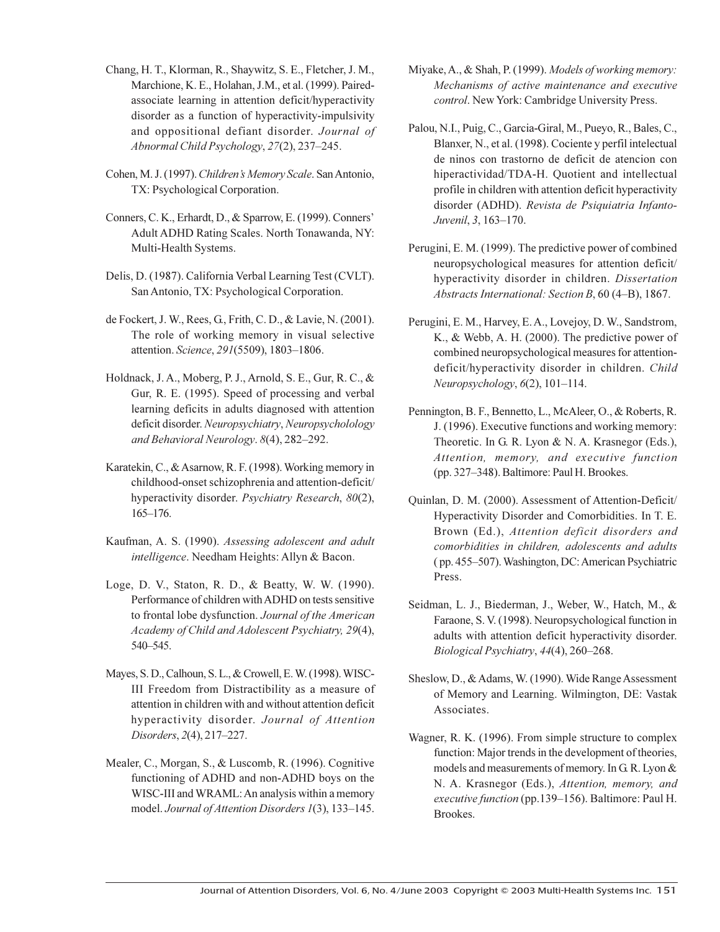- Chang, H. T., Klorman, R., Shaywitz, S. E., Fletcher, J. M., Marchione, K. E., Holahan, J.M., et al. (1999). Pairedassociate learning in attention deficit/hyperactivity disorder as a function of hyperactivity-impulsivity and oppositional defiant disorder. Journal of Abnormal Child Psychology, 27(2), 237–245.
- Cohen, M. J. (1997). Children's Memory Scale. San Antonio, TX: Psychological Corporation.
- Conners, C. K., Erhardt, D., & Sparrow, E. (1999). Conners' Adult ADHD Rating Scales. North Tonawanda, NY: Multi-Health Systems.
- Delis, D. (1987). California Verbal Learning Test (CVLT). San Antonio, TX: Psychological Corporation.
- de Fockert, J. W., Rees, G., Frith, C. D., & Lavie, N. (2001). The role of working memory in visual selective attention. Science, 291(5509), 1803-1806.
- Holdnack, J. A., Moberg, P. J., Arnold, S. E., Gur, R. C., & Gur, R. E. (1995). Speed of processing and verbal learning deficits in adults diagnosed with attention deficit disorder. Neuropsychiatry, Neuropsycholology and Behavioral Neurology. 8(4), 282-292.
- Karatekin, C., & Asarnow, R. F. (1998). Working memory in childhood-onset schizophrenia and attention-deficit/ hyperactivity disorder. Psychiatry Research, 80(2),  $165 - 176.$
- Kaufman, A. S. (1990). Assessing adolescent and adult intelligence. Needham Heights: Allyn & Bacon.
- Loge, D. V., Staton, R. D., & Beatty, W. W. (1990). Performance of children with ADHD on tests sensitive to frontal lobe dysfunction. Journal of the American Academy of Child and Adolescent Psychiatry, 29(4), 540-545.
- Mayes, S. D., Calhoun, S. L., & Crowell, E. W. (1998). WISC-III Freedom from Distractibility as a measure of attention in children with and without attention deficit hyperactivity disorder. Journal of Attention Disorders, 2(4), 217-227.
- Mealer, C., Morgan, S., & Luscomb, R. (1996). Cognitive functioning of ADHD and non-ADHD boys on the WISC-III and WRAML: An analysis within a memory model. Journal of Attention Disorders 1(3), 133-145.
- Miyake, A., & Shah, P. (1999). Models of working memory: Mechanisms of active maintenance and executive control. New York: Cambridge University Press.
- Palou, N.I., Puig, C., Garcia-Giral, M., Pueyo, R., Bales, C., Blanxer, N., et al. (1998). Cociente y perfil intelectual de ninos con trastorno de deficit de atencion con hiperactividad/TDA-H. Quotient and intellectual profile in children with attention deficit hyperactivity disorder (ADHD). Revista de Psiquiatria Infanto-Juvenil, 3, 163-170.
- Perugini, E. M. (1999). The predictive power of combined neuropsychological measures for attention deficit/ hyperactivity disorder in children. Dissertation Abstracts International: Section B, 60 (4–B), 1867.
- Perugini, E. M., Harvey, E. A., Lovejoy, D. W., Sandstrom, K., & Webb, A. H.  $(2000)$ . The predictive power of combined neuropsychological measures for attentiondeficit/hyperactivity disorder in children. Child Neuropsychology,  $6(2)$ , 101-114.
- Pennington, B. F., Bennetto, L., McAleer, O., & Roberts, R. J. (1996). Executive functions and working memory: Theoretic. In G. R. Lyon & N. A. Krasnegor (Eds.), Attention, memory, and executive function (pp. 327–348). Baltimore: Paul H. Brookes.
- Quinlan, D. M. (2000). Assessment of Attention-Deficit/ Hyperactivity Disorder and Comorbidities. In T. E. Brown (Ed.), Attention deficit disorders and comorbidities in children, adolescents and adults (pp. 455–507). Washington, DC: American Psychiatric Press.
- Seidman, L. J., Biederman, J., Weber, W., Hatch, M., & Faraone, S. V. (1998). Neuropsychological function in adults with attention deficit hyperactivity disorder. Biological Psychiatry, 44(4), 260-268.
- Sheslow, D., & Adams, W. (1990). Wide Range Assessment of Memory and Learning. Wilmington, DE: Vastak Associates.
- Wagner, R. K. (1996). From simple structure to complex function: Major trends in the development of theories, models and measurements of memory. In G. R. Lyon & N. A. Krasnegor (Eds.), Attention, memory, and executive function (pp.139-156). Baltimore: Paul H. Brookes.